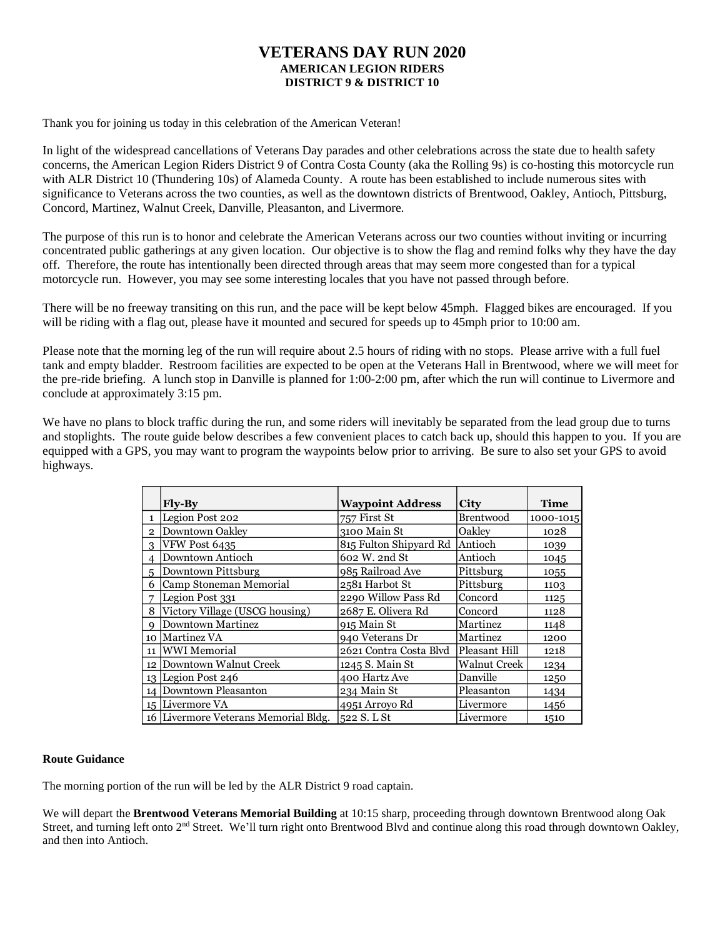## **VETERANS DAY RUN 2020 AMERICAN LEGION RIDERS DISTRICT 9 & DISTRICT 10**

Thank you for joining us today in this celebration of the American Veteran!

In light of the widespread cancellations of Veterans Day parades and other celebrations across the state due to health safety concerns, the American Legion Riders District 9 of Contra Costa County (aka the Rolling 9s) is co-hosting this motorcycle run with ALR District 10 (Thundering 10s) of Alameda County. A route has been established to include numerous sites with significance to Veterans across the two counties, as well as the downtown districts of Brentwood, Oakley, Antioch, Pittsburg, Concord, Martinez, Walnut Creek, Danville, Pleasanton, and Livermore.

The purpose of this run is to honor and celebrate the American Veterans across our two counties without inviting or incurring concentrated public gatherings at any given location. Our objective is to show the flag and remind folks why they have the day off. Therefore, the route has intentionally been directed through areas that may seem more congested than for a typical motorcycle run. However, you may see some interesting locales that you have not passed through before.

There will be no freeway transiting on this run, and the pace will be kept below 45mph. Flagged bikes are encouraged. If you will be riding with a flag out, please have it mounted and secured for speeds up to 45mph prior to 10:00 am.

Please note that the morning leg of the run will require about 2.5 hours of riding with no stops. Please arrive with a full fuel tank and empty bladder. Restroom facilities are expected to be open at the Veterans Hall in Brentwood, where we will meet for the pre-ride briefing. A lunch stop in Danville is planned for 1:00-2:00 pm, after which the run will continue to Livermore and conclude at approximately 3:15 pm.

We have no plans to block traffic during the run, and some riders will inevitably be separated from the lead group due to turns and stoplights. The route guide below describes a few convenient places to catch back up, should this happen to you. If you are equipped with a GPS, you may want to program the waypoints below prior to arriving. Be sure to also set your GPS to avoid highways.

|               | Fly-By                               | <b>Waypoint Address</b>        | <b>City</b>         | <b>Time</b> |
|---------------|--------------------------------------|--------------------------------|---------------------|-------------|
|               | 1  Legion Post 202                   | 757 First St                   | Brentwood           | 1000-1015   |
| $\mathcal{P}$ | Downtown Oakley                      | 3100 Main St                   | Oakley              | 1028        |
| $\mathcal{R}$ | VFW Post 6435                        | 815 Fulton Shipyard Rd Antioch |                     | 1039        |
| 4             | Downtown Antioch                     | 602 W. 2nd St                  | Antioch             | 1045        |
| 5             | Downtown Pittsburg                   | 985 Railroad Ave               | Pittsburg           | 1055        |
| 6             | Camp Stoneman Memorial               | 2581 Harbot St                 | Pittsburg           | 1103        |
| 7             | Legion Post 331                      | 2290 Willow Pass Rd            | Concord             | 1125        |
| 8             | Victory Village (USCG housing)       | 2687 E. Olivera Rd             | Concord             | 1128        |
| Q             | Downtown Martinez                    | 915 Main St                    | Martinez            | 1148        |
|               | 10 Martinez VA                       | 940 Veterans Dr                | Martinez            | 1200        |
|               | 11 WWI Memorial                      | 2621 Contra Costa Blvd         | Pleasant Hill       | 1218        |
|               | 12 Downtown Walnut Creek             | 1245 S. Main St                | <b>Walnut Creek</b> | 1234        |
|               | $13$ Legion Post 246                 | 400 Hartz Ave                  | Danville            | 1250        |
|               | 14 Downtown Pleasanton               | 234 Main St                    | Pleasanton          | 1434        |
|               | 15 Livermore VA                      | 4951 Arroyo Rd                 | Livermore           | 1456        |
|               | 16 Livermore Veterans Memorial Bldg. | 522 S. L St                    | Livermore           | 1510        |

## **Route Guidance**

The morning portion of the run will be led by the ALR District 9 road captain.

We will depart the **Brentwood Veterans Memorial Building** at 10:15 sharp, proceeding through downtown Brentwood along Oak Street, and turning left onto 2<sup>nd</sup> Street. We'll turn right onto Brentwood Blvd and continue along this road through downtown Oakley, and then into Antioch.